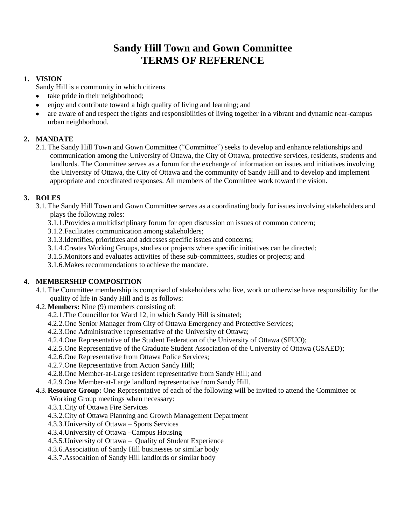# **Sandy Hill Town and Gown Committee TERMS OF REFERENCE**

## **1. VISION**

Sandy Hill is a community in which citizens

- take pride in their neighborhood;
- enjoy and contribute toward a high quality of living and learning; and
- are aware of and respect the rights and responsibilities of living together in a vibrant and dynamic near-campus urban neighborhood.

## **2. MANDATE**

2.1.The Sandy Hill Town and Gown Committee ("Committee") seeks to develop and enhance relationships and communication among the University of Ottawa, the City of Ottawa, protective services, residents, students and landlords. The Committee serves as a forum for the exchange of information on issues and initiatives involving the University of Ottawa, the City of Ottawa and the community of Sandy Hill and to develop and implement appropriate and coordinated responses. All members of the Committee work toward the vision.

## **3. ROLES**

- 3.1.The Sandy Hill Town and Gown Committee serves as a coordinating body for issues involving stakeholders and plays the following roles:
	- 3.1.1.Provides a multidisciplinary forum for open discussion on issues of common concern;
	- 3.1.2.Facilitates communication among stakeholders;
	- 3.1.3.Identifies, prioritizes and addresses specific issues and concerns;
	- 3.1.4.Creates Working Groups, studies or projects where specific initiatives can be directed;
	- 3.1.5.Monitors and evaluates activities of these sub-committees, studies or projects; and
	- 3.1.6.Makes recommendations to achieve the mandate.

## **4. MEMBERSHIP COMPOSITION**

- 4.1.The Committee membership is comprised of stakeholders who live, work or otherwise have responsibility for the quality of life in Sandy Hill and is as follows:
- 4.2.**Members:** Nine (9) members consisting of:
	- 4.2.1.The Councillor for Ward 12, in which Sandy Hill is situated;
	- 4.2.2.One Senior Manager from City of Ottawa Emergency and Protective Services;
	- 4.2.3.One Administrative representative of the University of Ottawa;
	- 4.2.4.One Representative of the Student Federation of the University of Ottawa (SFUO);
	- 4.2.5.One Representative of the Graduate Student Association of the University of Ottawa (GSAED);
	- 4.2.6.One Representative from Ottawa Police Services;
	- 4.2.7.One Representative from Action Sandy Hill;
	- 4.2.8.One Member-at-Large resident representative from Sandy Hill; and
	- 4.2.9.One Member-at-Large landlord representative from Sandy Hill.

## 4.3.**Resource Group:** One Representative of each of the following will be invited to attend the Committee or

- Working Group meetings when necessary:
- 4.3.1.City of Ottawa Fire Services
- 4.3.2.City of Ottawa Planning and Growth Management Department
- 4.3.3.University of Ottawa Sports Services
- 4.3.4.University of Ottawa –Campus Housing
- 4.3.5.University of Ottawa Quality of Student Experience
- 4.3.6.Association of Sandy Hill businesses or similar body
- 4.3.7.Assocaition of Sandy Hill landlords or similar body